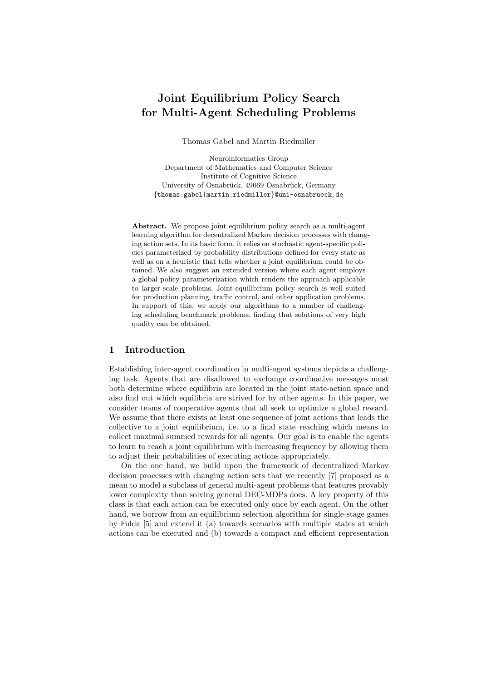# Joint Equilibrium Policy Search for Multi-Agent Scheduling Problems

Thomas Gabel and Martin Riedmiller

Neuroinformatics Group Department of Mathematics and Computer Science Institute of Cognitive Science University of Osnabrück, 49069 Osnabrück, Germany {thomas.gabel|martin.riedmiller}@uni-osnabrueck.de

Abstract. We propose joint equilibrium policy search as a multi-agent learning algorithm for decentralized Markov decision processes with changing action sets. In its basic form, it relies on stochastic agent-specific policies parameterized by probability distributions defined for every state as well as on a heuristic that tells whether a joint equilibrium could be obtained. We also suggest an extended version where each agent employs a global policy parameterization which renders the approach applicable to larger-scale problems. Joint-equilibrium policy search is well suited for production planning, traffic control, and other application problems. In support of this, we apply our algorithms to a number of challenging scheduling benchmark problems, finding that solutions of very high quality can be obtained.

# 1 Introduction

Establishing inter-agent coordination in multi-agent systems depicts a challenging task. Agents that are disallowed to exchange coordinative messages must both determine where equilibria are located in the joint state-action space and also find out which equilibria are strived for by other agents. In this paper, we consider teams of cooperative agents that all seek to optimize a global reward. We assume that there exists at least one sequence of joint actions that leads the collective to a joint equilibrium, i.e. to a final state reaching which means to collect maximal summed rewards for all agents. Our goal is to enable the agents to learn to reach a joint equilibrium with increasing frequency by allowing them to adjust their probabilities of executing actions appropriately.

On the one hand, we build upon the framework of decentralized Markov decision processes with changing action sets that we recently [7] proposed as a mean to model a subclass of general multi-agent problems that features provably lower complexity than solving general DEC-MDPs does. A key property of this class is that each action can be executed only once by each agent. On the other hand, we borrow from an equilibrium selection algorithm for single-stage games by Fulda [5] and extend it (a) towards scenarios with multiple states at which actions can be executed and (b) towards a compact and efficient representation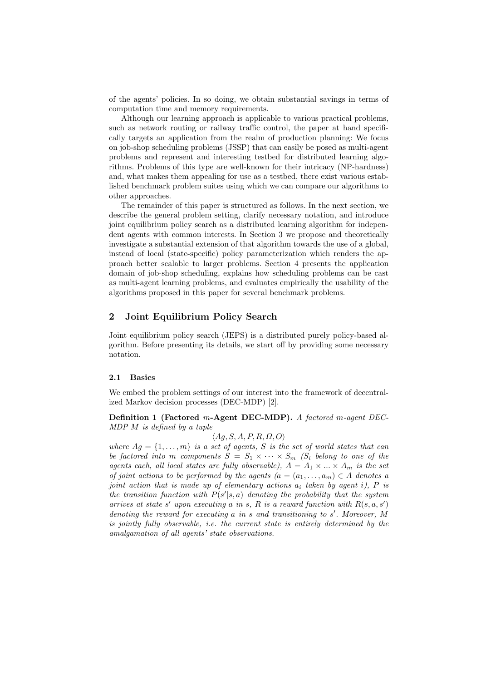of the agents' policies. In so doing, we obtain substantial savings in terms of computation time and memory requirements.

Although our learning approach is applicable to various practical problems, such as network routing or railway traffic control, the paper at hand specifically targets an application from the realm of production planning: We focus on job-shop scheduling problems (JSSP) that can easily be posed as multi-agent problems and represent and interesting testbed for distributed learning algorithms. Problems of this type are well-known for their intricacy (NP-hardness) and, what makes them appealing for use as a testbed, there exist various established benchmark problem suites using which we can compare our algorithms to other approaches.

The remainder of this paper is structured as follows. In the next section, we describe the general problem setting, clarify necessary notation, and introduce joint equilibrium policy search as a distributed learning algorithm for independent agents with common interests. In Section 3 we propose and theoretically investigate a substantial extension of that algorithm towards the use of a global, instead of local (state-specific) policy parameterization which renders the approach better scalable to larger problems. Section 4 presents the application domain of job-shop scheduling, explains how scheduling problems can be cast as multi-agent learning problems, and evaluates empirically the usability of the algorithms proposed in this paper for several benchmark problems.

# 2 Joint Equilibrium Policy Search

Joint equilibrium policy search (JEPS) is a distributed purely policy-based algorithm. Before presenting its details, we start off by providing some necessary notation.

## 2.1 Basics

We embed the problem settings of our interest into the framework of decentralized Markov decision processes (DEC-MDP) [2].

Definition 1 (Factored m-Agent DEC-MDP). A factored m-agent DEC-MDP M is defined by a tuple

$$
\langle Ag, S, A, P, R, \Omega, O \rangle
$$

where  $Ag = \{1, \ldots, m\}$  is a set of agents, S is the set of world states that can be factored into m components  $S = S_1 \times \cdots \times S_m$  (S<sub>i</sub> belong to one of the agents each, all local states are fully observable),  $A = A_1 \times ... \times A_m$  is the set of joint actions to be performed by the agents  $(a = (a_1, \ldots, a_m) \in A$  denotes a joint action that is made up of elementary actions  $a_i$  taken by agent i), P is the transition function with  $P(s'|s, a)$  denoting the probability that the system arrives at state s' upon executing a in s, R is a reward function with  $R(s, a, s')$ denoting the reward for executing a in s and transitioning to s'. Moreover, M is jointly fully observable, i.e. the current state is entirely determined by the amalgamation of all agents' state observations.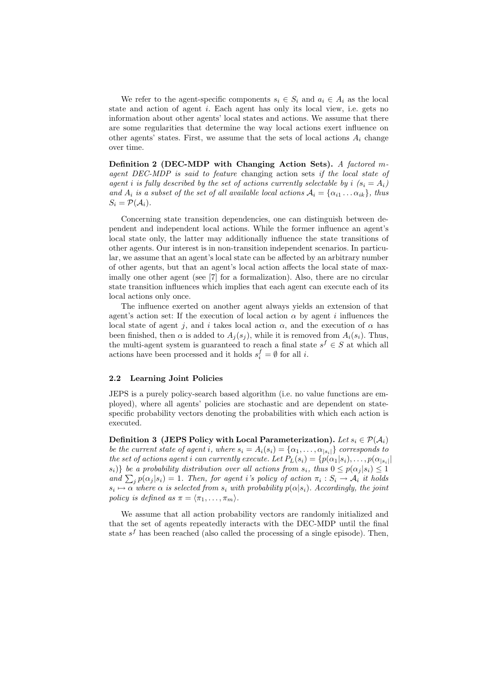We refer to the agent-specific components  $s_i \in S_i$  and  $a_i \in A_i$  as the local state and action of agent i. Each agent has only its local view, i.e. gets no information about other agents' local states and actions. We assume that there are some regularities that determine the way local actions exert influence on other agents' states. First, we assume that the sets of local actions  $A_i$  change over time.

Definition 2 (DEC-MDP with Changing Action Sets). A factored magent DEC-MDP is said to feature changing action sets if the local state of agent i is fully described by the set of actions currently selectable by i  $(s_i = A_i)$ and  $A_i$  is a subset of the set of all available local actions  $A_i = {\alpha_{i1} \dots \alpha_{ik}}$ , thus  $S_i = \mathcal{P}(\mathcal{A}_i).$ 

Concerning state transition dependencies, one can distinguish between dependent and independent local actions. While the former influence an agent's local state only, the latter may additionally influence the state transitions of other agents. Our interest is in non-transition independent scenarios. In particular, we assume that an agent's local state can be affected by an arbitrary number of other agents, but that an agent's local action affects the local state of maximally one other agent (see [7] for a formalization). Also, there are no circular state transition influences which implies that each agent can execute each of its local actions only once.

The influence exerted on another agent always yields an extension of that agent's action set: If the execution of local action  $\alpha$  by agent i influences the local state of agent j, and i takes local action  $\alpha$ , and the execution of  $\alpha$  has been finished, then  $\alpha$  is added to  $A_i(s_i)$ , while it is removed from  $A_i(s_i)$ . Thus, the multi-agent system is guaranteed to reach a final state  $s^f \in S$  at which all actions have been processed and it holds  $s_i^f = \emptyset$  for all *i*.

### 2.2 Learning Joint Policies

JEPS is a purely policy-search based algorithm (i.e. no value functions are employed), where all agents' policies are stochastic and are dependent on statespecific probability vectors denoting the probabilities with which each action is executed.

Definition 3 (JEPS Policy with Local Parameterization). Let  $s_i \in \mathcal{P}(\mathcal{A}_i)$ be the current state of agent i, where  $s_i = A_i(s_i) = {\alpha_1, \ldots, \alpha_{|s_i|}}$  corresponds to the set of actions agent i can currently execute. Let  $P_L(s_i) = \{p(\alpha_1|s_i), \ldots, p(\alpha_{|s_i|}|\})$  $\{s_i\}$  be a probability distribution over all actions from  $s_i$ , thus  $0 \leq p(\alpha_j|s_i) \leq 1$ and  $\sum_j p(\alpha_j|s_i) = 1$ . Then, for agent i's policy of action  $\pi_i : S_i \to A_i$  it holds  $s_i \mapsto \alpha$  where  $\alpha$  is selected from  $s_i$  with probability  $p(\alpha|s_i)$ . Accordingly, the joint policy is defined as  $\pi = \langle \pi_1, \ldots, \pi_m \rangle$ .

We assume that all action probability vectors are randomly initialized and that the set of agents repeatedly interacts with the DEC-MDP until the final state  $s^f$  has been reached (also called the processing of a single episode). Then,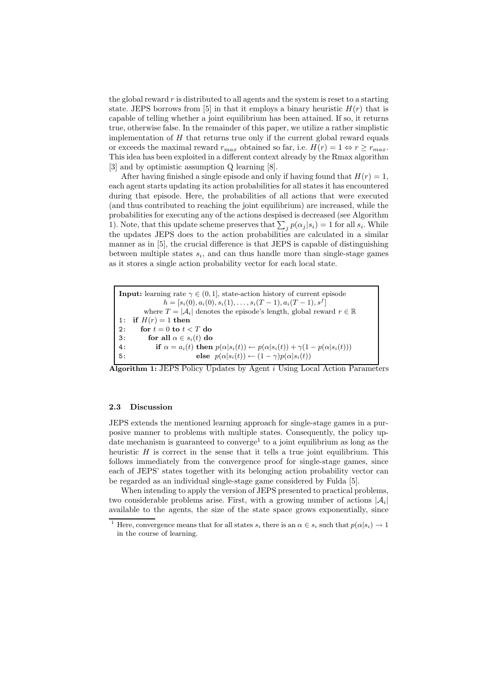the global reward  $r$  is distributed to all agents and the system is reset to a starting state. JEPS borrows from [5] in that it employs a binary heuristic  $H(r)$  that is capable of telling whether a joint equilibrium has been attained. If so, it returns true, otherwise false. In the remainder of this paper, we utilize a rather simplistic implementation of  $H$  that returns true only if the current global reward equals or exceeds the maximal reward  $r_{max}$  obtained so far, i.e.  $H(r) = 1 \Leftrightarrow r > r_{max}$ . This idea has been exploited in a different context already by the Rmax algorithm [3] and by optimistic assumption Q learning [8].

After having finished a single episode and only if having found that  $H(r) = 1$ , each agent starts updating its action probabilities for all states it has encountered during that episode. Here, the probabilities of all actions that were executed (and thus contributed to reaching the joint equilibrium) are increased, while the probabilities for executing any of the actions despised is decreased (see Algorithm 1). Note, that this update scheme preserves that  $\sum_j p(\alpha_j | s_i) = 1$  for all  $s_i$ . While the updates JEPS does to the action probabilities are calculated in a similar manner as in [5], the crucial difference is that JEPS is capable of distinguishing between multiple states  $s_i$ , and can thus handle more than single-stage games as it stores a single action probability vector for each local state.

**Input:** learning rate  $\gamma \in (0, 1]$ , state-action history of current episode  $h = [s_i(0), a_i(0), s_i(1), \ldots, s_i(T-1), a_i(T-1), s^f]$ where  $T = |\mathcal{A}_i|$  denotes the episode's length, global reward  $r \in \mathbb{R}$ 1: if  $H(r) = 1$  then 2: for  $t = 0$  to  $t < T$  do 3: for all  $\alpha \in s_i(t)$  do 4: if  $\alpha = a_i(t)$  then  $p(\alpha|s_i(t)) \leftarrow p(\alpha|s_i(t)) + \gamma(1 - p(\alpha|s_i(t)))$ 5: else  $p(\alpha|s_i(t)) \leftarrow (1-\gamma)p(\alpha|s_i(t))$ 

Algorithm 1: JEPS Policy Updates by Agent i Using Local Action Parameters

#### 2.3 Discussion

JEPS extends the mentioned learning approach for single-stage games in a purposive manner to problems with multiple states. Consequently, the policy update mechanism is guaranteed to converge<sup>1</sup> to a joint equilibrium as long as the heuristic  $H$  is correct in the sense that it tells a true joint equilibrium. This follows immediately from the convergence proof for single-stage games, since each of JEPS' states together with its belonging action probability vector can be regarded as an individual single-stage game considered by Fulda [5].

When intending to apply the version of JEPS presented to practical problems, two considerable problems arise. First, with a growing number of actions  $|\mathcal{A}_i|$ available to the agents, the size of the state space grows exponentially, since

Here, convergence means that for all states  $s_i$  there is an  $\alpha \in s_i$  such that  $p(\alpha|s_i) \to 1$ in the course of learning.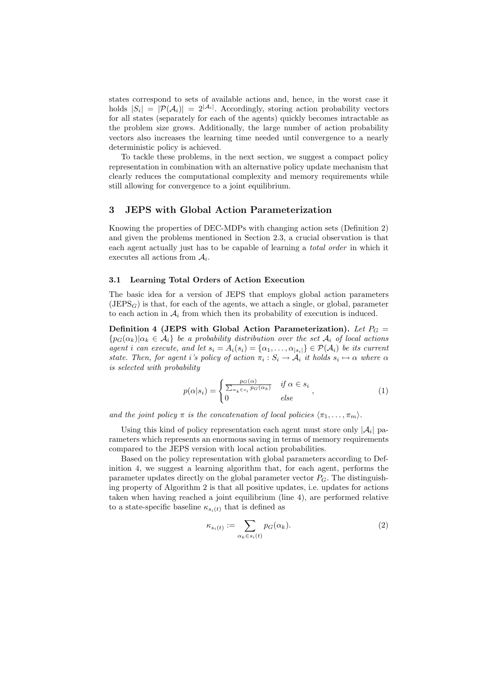states correspond to sets of available actions and, hence, in the worst case it holds  $|S_i| = |\mathcal{P}(\mathcal{A}_i)| = 2^{|\mathcal{A}_i|}$ . Accordingly, storing action probability vectors for all states (separately for each of the agents) quickly becomes intractable as the problem size grows. Additionally, the large number of action probability vectors also increases the learning time needed until convergence to a nearly deterministic policy is achieved.

To tackle these problems, in the next section, we suggest a compact policy representation in combination with an alternative policy update mechanism that clearly reduces the computational complexity and memory requirements while still allowing for convergence to a joint equilibrium.

# 3 JEPS with Global Action Parameterization

Knowing the properties of DEC-MDPs with changing action sets (Definition 2) and given the problems mentioned in Section 2.3, a crucial observation is that each agent actually just has to be capable of learning a total order in which it executes all actions from  $A_i$ .

## 3.1 Learning Total Orders of Action Execution

The basic idea for a version of JEPS that employs global action parameters  $(JEPS<sub>G</sub>)$  is that, for each of the agents, we attach a single, or global, parameter to each action in  $A_i$  from which then its probability of execution is induced.

Definition 4 (JEPS with Global Action Parameterization). Let  $P_G =$  ${p_G(\alpha_k)|\alpha_k \in \mathcal{A}_i}$  be a probability distribution over the set  $\mathcal{A}_i$  of local actions agent i can execute, and let  $s_i = A_i(s_i) = {\alpha_1, ..., \alpha_{|s_i|}} \in \mathcal{P}(\mathcal{A}_i)$  be its current state. Then, for agent i's policy of action  $\pi_i : S_i \to A_i$  it holds  $s_i \mapsto \alpha$  where  $\alpha$ is selected with probability

$$
p(\alpha|s_i) = \begin{cases} \frac{p_G(\alpha)}{\sum_{\alpha_k \in s_i} p_G(\alpha_k)} & \text{if } \alpha \in s_i \\ 0 & \text{else} \end{cases},\tag{1}
$$

and the joint policy  $\pi$  is the concatenation of local policies  $\langle \pi_1, \ldots, \pi_m \rangle$ .

Using this kind of policy representation each agent must store only  $|\mathcal{A}_i|$  parameters which represents an enormous saving in terms of memory requirements compared to the JEPS version with local action probabilities.

Based on the policy representation with global parameters according to Definition 4, we suggest a learning algorithm that, for each agent, performs the parameter updates directly on the global parameter vector  $P_G$ . The distinguishing property of Algorithm 2 is that all positive updates, i.e. updates for actions taken when having reached a joint equilibrium (line 4), are performed relative to a state-specific baseline  $\kappa_{s}(t)$  that is defined as

$$
\kappa_{s_i(t)} := \sum_{\alpha_k \in s_i(t)} p_G(\alpha_k). \tag{2}
$$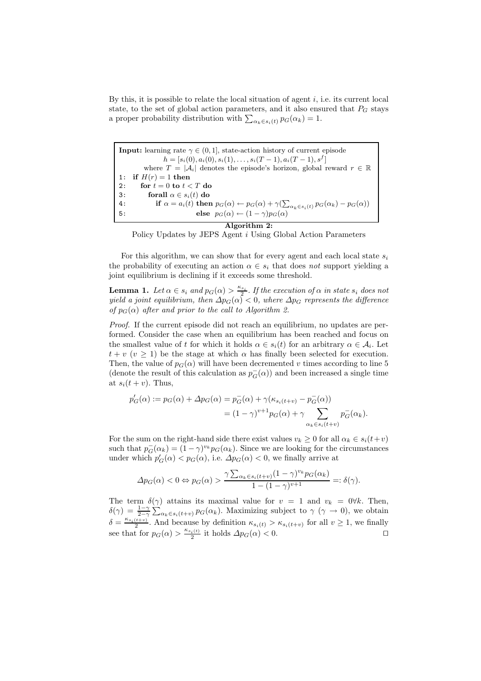By this, it is possible to relate the local situation of agent  $i$ , i.e. its current local state, to the set of global action parameters, and it also ensured that  $P_G$  stays a proper probability distribution with  $\sum_{\alpha_k \in s_i(t)} p_G(\alpha_k) = 1$ .

**Input:** learning rate  $\gamma \in (0, 1]$ , state-action history of current episode  $h = [s_i(0), a_i(0), s_i(1), \ldots, s_i(T-1), a_i(T-1), s^f]$ where  $T = |\mathcal{A}_i|$  denotes the episode's horizon, global reward  $r \in \mathbb{R}$ 1: if  $H(r) = 1$  then 2: for  $t = 0$  to  $t < T$  do 3: forall  $\alpha \in s_i(t)$  do 4: if  $\alpha = a_i(t)$  then  $p_G(\alpha) \leftarrow p_G(\alpha) + \gamma(\sum_{\alpha_k \in s_i(t)} p_G(\alpha_k) - p_G(\alpha))$ 5: else  $p_G(\alpha) \leftarrow (1 - \gamma)p_G(\alpha)$ 

Algorithm 2:

Policy Updates by JEPS Agent i Using Global Action Parameters

For this algorithm, we can show that for every agent and each local state  $s_i$ the probability of executing an action  $\alpha \in s_i$  that does not support yielding a joint equilibrium is declining if it exceeds some threshold.

**Lemma 1.** Let  $\alpha \in s_i$  and  $p_G(\alpha) > \frac{\kappa_{s_i}}{2}$ . If the execution of  $\alpha$  in state  $s_i$  does not yield a joint equilibrium, then  $\Delta p_G(\alpha) < 0$ , where  $\Delta p_G$  represents the difference of  $p_G(\alpha)$  after and prior to the call to Algorithm 2.

Proof. If the current episode did not reach an equilibrium, no updates are performed. Consider the case when an equilibrium has been reached and focus on the smallest value of t for which it holds  $\alpha \in s_i(t)$  for an arbitrary  $\alpha \in A_i$ . Let  $t + v$  ( $v \ge 1$ ) be the stage at which  $\alpha$  has finally been selected for execution. Then, the value of  $p_G(\alpha)$  will have been decremented v times according to line 5 (denote the result of this calculation as  $p_G^-(\alpha)$ ) and been increased a single time at  $s_i(t + v)$ . Thus,

$$
p'_G(\alpha) := p_G(\alpha) + \Delta p_G(\alpha) = p_G^-(\alpha) + \gamma (\kappa_{s_i(t+v)} - p_G^-(\alpha))
$$
  
=  $(1 - \gamma)^{v+1} p_G(\alpha) + \gamma \sum_{\alpha_k \in s_i(t+v)} p_G^-(\alpha_k).$ 

For the sum on the right-hand side there exist values  $v_k \geq 0$  for all  $\alpha_k \in s_i(t+v)$ such that  $p_G^-(\alpha_k) = (1 - \gamma)^{v_k} p_G(\alpha_k)$ . Since we are looking for the circumstances under which  $p'_{G}(\alpha) < p_{G}(\alpha)$ , i.e.  $\Delta p_{G}(\alpha) < 0$ , we finally arrive at

$$
\Delta p_G(\alpha) < 0 \Leftrightarrow p_G(\alpha) > \frac{\gamma \sum_{\alpha_k \in s_i(t+v)} (1-\gamma)^{v_k} p_G(\alpha_k)}{1 - (1-\gamma)^{v+1}} =: \delta(\gamma).
$$

The term  $\delta(\gamma)$  attains its maximal value for  $v = 1$  and  $v_k = 0 \forall k$ . Then,  $\delta(\gamma) = \frac{1-\gamma}{2-\gamma} \sum_{\alpha_k \in s_i(t+v)} p_G(\alpha_k)$ . Maximizing subject to  $\gamma$  ( $\gamma \to 0$ ), we obtain  $\delta = \frac{\kappa_{s_i(t+v)}}{2}$ . And because by definition  $\kappa_{s_i(t)} > \kappa_{s_i(t+v)}$  for all  $v \ge 1$ , we finally see that for  $p_G(\alpha) > \frac{\kappa_{s_i(t)}}{2}$  it holds  $\Delta p_G(\alpha) < 0$ . □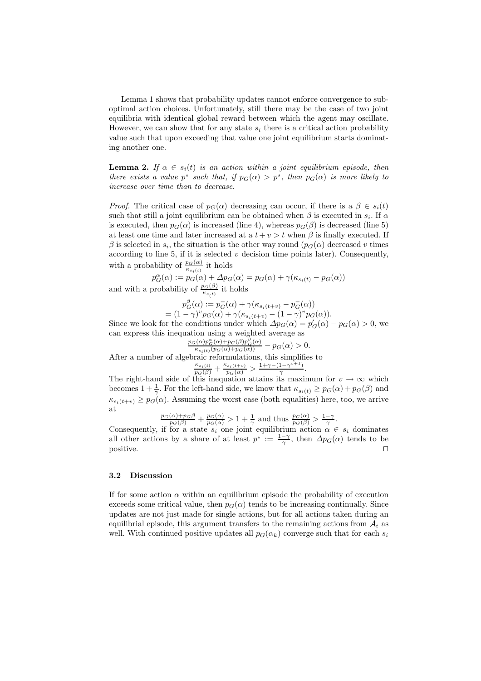Lemma 1 shows that probability updates cannot enforce convergence to suboptimal action choices. Unfortunately, still there may be the case of two joint equilibria with identical global reward between which the agent may oscillate. However, we can show that for any state  $s_i$  there is a critical action probability value such that upon exceeding that value one joint equilibrium starts dominating another one.

**Lemma 2.** If  $\alpha \in s_i(t)$  is an action within a joint equilibrium episode, then there exists a value  $p^*$  such that, if  $p_G(\alpha) > p^*$ , then  $p_G(\alpha)$  is more likely to increase over time than to decrease.

*Proof.* The critical case of  $p_G(\alpha)$  decreasing can occur, if there is a  $\beta \in s_i(t)$ such that still a joint equilibrium can be obtained when  $\beta$  is executed in  $s_i$ . If  $\alpha$ is executed, then  $p_G(\alpha)$  is increased (line 4), whereas  $p_G(\beta)$  is decreased (line 5) at least one time and later increased at a  $t + v > t$  when  $\beta$  is finally executed. If  $\beta$  is selected in  $s_i$ , the situation is the other way round  $(p_G(\alpha))$  decreased v times according to line  $5$ , if it is selected  $v$  decision time points later). Consequently, with a probability of  $\frac{p_G(\alpha)}{\kappa_{s_i(t)}}$  it holds

$$
p_G^{\alpha}(\alpha) := p_G(\alpha) + \Delta p_G(\alpha) = p_G(\alpha) + \gamma(\kappa_{s_i(t)} - p_G(\alpha))
$$

and with a probability of  $\frac{p_G(\beta)}{\kappa_{s(t)}}$  it holds

$$
p_G^{\beta}(\alpha) := p_G^-(\alpha) + \gamma(\kappa_{s_i(t+v)} - p_G^-(\alpha))
$$
  
=  $(1 - \gamma)^v p_G(\alpha) + \gamma(\kappa_{s_i(t+v)} - (1 - \gamma)^v p_G(\alpha)).$ 

Since we look for the conditions under which  $\Delta p_G(\alpha) = p'_G(\alpha) - p_G(\alpha) > 0$ , we can express this inequation using a weighted average as

$$
\frac{p_G(\alpha)p_G^{\alpha}(\alpha)+p_G(\beta)p_G^{\beta}(\alpha)}{\kappa_{s_i(t)}(p_G(\alpha)+p_G(\alpha))}-p_G(\alpha)>0.
$$

After a number of algebraic reformulations, this simplifies to

$$
\frac{\kappa_{s_i(t)}}{p_G(\beta)} + \frac{\kappa_{s_i(t+v)}}{p_G(\alpha)} > \frac{1+\gamma-(1-\gamma^{v+1})}{\gamma}.
$$

The right-hand side of this inequation attains its maximum for  $v \to \infty$  which becomes  $1 + \frac{1}{\gamma}$ . For the left-hand side, we know that  $\kappa_{s_i(t)} \geq p_G(\alpha) + p_G(\beta)$  and  $\kappa_{s_i(t+v)} \geq p_G(\alpha)$ . Assuming the worst case (both equalities) here, too, we arrive at

$$
\frac{p_G(\alpha)+p_G\beta}{p_G(\beta)}+\frac{p_G(\alpha)}{p_G(\alpha)}>1+\frac{1}{\gamma}
$$
 and thus  $\frac{p_G(\alpha)}{p_G(\beta)}>\frac{1-\gamma}{\gamma}$ .

Consequently, if for a state  $s_i$  one joint equilibrium action  $\alpha \in s_i$  dominates all other actions by a share of at least  $p^* := \frac{1-\gamma}{\gamma}$ , then  $\Delta p_G(\alpha)$  tends to be positive. □

#### 3.2 Discussion

If for some action  $\alpha$  within an equilibrium episode the probability of execution exceeds some critical value, then  $p_G(\alpha)$  tends to be increasing continually. Since updates are not just made for single actions, but for all actions taken during an equilibrial episode, this argument transfers to the remaining actions from  $A_i$  as well. With continued positive updates all  $p_G(\alpha_k)$  converge such that for each  $s_i$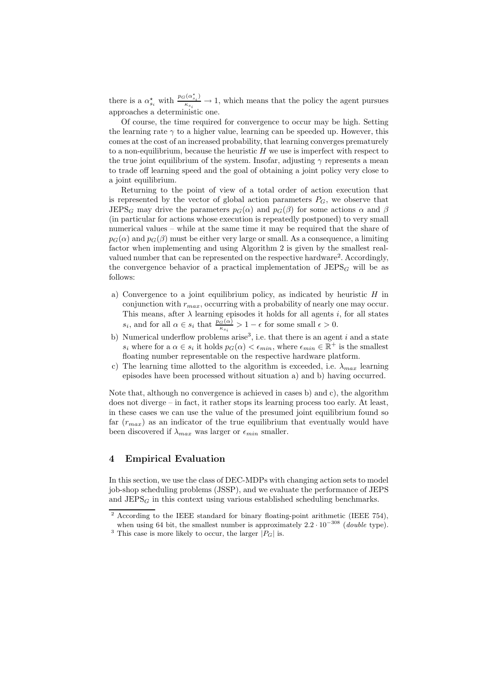there is a  $\alpha_{s_i}^{\star}$  with  $\frac{p_G(\alpha_{s_i}^{\star})}{\kappa_{s_i}}$  $\frac{\partial \langle \alpha_{s_i} \rangle}{\partial \kappa_{s_i}} \to 1$ , which means that the policy the agent pursues approaches a deterministic one.

Of course, the time required for convergence to occur may be high. Setting the learning rate  $\gamma$  to a higher value, learning can be speeded up. However, this comes at the cost of an increased probability, that learning converges prematurely to a non-equilibrium, because the heuristic  $H$  we use is imperfect with respect to the true joint equilibrium of the system. Insofar, adjusting  $\gamma$  represents a mean to trade off learning speed and the goal of obtaining a joint policy very close to a joint equilibrium.

Returning to the point of view of a total order of action execution that is represented by the vector of global action parameters  $P_G$ , we observe that JEPS<sub>G</sub> may drive the parameters  $p_G(\alpha)$  and  $p_G(\beta)$  for some actions  $\alpha$  and  $\beta$ (in particular for actions whose execution is repeatedly postponed) to very small numerical values – while at the same time it may be required that the share of  $p_G(\alpha)$  and  $p_G(\beta)$  must be either very large or small. As a consequence, a limiting factor when implementing and using Algorithm 2 is given by the smallest realvalued number that can be represented on the respective hardware<sup>2</sup>. Accordingly, the convergence behavior of a practical implementation of  $JEPS<sub>G</sub>$  will be as follows:

- a) Convergence to a joint equilibrium policy, as indicated by heuristic  $H$  in conjunction with  $r_{max}$ , occurring with a probability of nearly one may occur. This means, after  $\lambda$  learning episodes it holds for all agents i, for all states  $s_i$ , and for all  $\alpha \in s_i$  that  $\frac{p_G(\alpha)}{\kappa_{s_i}} > 1 - \epsilon$  for some small  $\epsilon > 0$ .
- b) Numerical underflow problems arise<sup>3</sup>, i.e. that there is an agent i and a state  $s_i$  where for a  $\alpha \in s_i$  it holds  $p_G(\alpha) < \epsilon_{min}$ , where  $\epsilon_{min} \in \mathbb{R}^+$  is the smallest floating number representable on the respective hardware platform.
- c) The learning time allotted to the algorithm is exceeded, i.e.  $\lambda_{max}$  learning episodes have been processed without situation a) and b) having occurred.

Note that, although no convergence is achieved in cases b) and c), the algorithm does not diverge – in fact, it rather stops its learning process too early. At least, in these cases we can use the value of the presumed joint equilibrium found so far  $(r_{max})$  as an indicator of the true equilibrium that eventually would have been discovered if  $\lambda_{max}$  was larger or  $\epsilon_{min}$  smaller.

# 4 Empirical Evaluation

In this section, we use the class of DEC-MDPs with changing action sets to model job-shop scheduling problems (JSSP), and we evaluate the performance of JEPS and  $JEPS<sub>G</sub>$  in this context using various established scheduling benchmarks.

<sup>&</sup>lt;sup>2</sup> According to the IEEE standard for binary floating-point arithmetic (IEEE 754),

when using 64 bit, the smallest number is approximately  $2.2 \cdot 10^{-308}$  (double type).

<sup>&</sup>lt;sup>3</sup> This case is more likely to occur, the larger  $|P_G|$  is.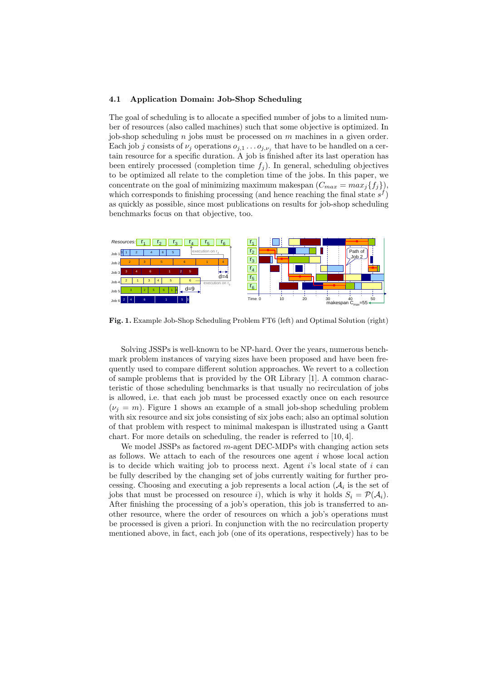#### 4.1 Application Domain: Job-Shop Scheduling

The goal of scheduling is to allocate a specified number of jobs to a limited number of resources (also called machines) such that some objective is optimized. In job-shop scheduling  $n$  jobs must be processed on  $m$  machines in a given order. Each job j consists of  $\nu_j$  operations  $o_{j,1} \ldots o_{j,\nu_j}$  that have to be handled on a certain resource for a specific duration. A job is finished after its last operation has been entirely processed (completion time  $f_i$ ). In general, scheduling objectives to be optimized all relate to the completion time of the jobs. In this paper, we concentrate on the goal of minimizing maximum makespan  $(C_{max} = max_i \{f_i\}),$ which corresponds to finishing processing (and hence reaching the final state  $s^f$ ) as quickly as possible, since most publications on results for job-shop scheduling benchmarks focus on that objective, too.



Fig. 1. Example Job-Shop Scheduling Problem FT6 (left) and Optimal Solution (right)

Solving JSSPs is well-known to be NP-hard. Over the years, numerous benchmark problem instances of varying sizes have been proposed and have been frequently used to compare different solution approaches. We revert to a collection of sample problems that is provided by the OR Library [1]. A common characteristic of those scheduling benchmarks is that usually no recirculation of jobs is allowed, i.e. that each job must be processed exactly once on each resource  $(\nu_i = m)$ . Figure 1 shows an example of a small job-shop scheduling problem with six resource and six jobs consisting of six jobs each; also an optimal solution of that problem with respect to minimal makespan is illustrated using a Gantt chart. For more details on scheduling, the reader is referred to [10, 4].

We model JSSPs as factored  $m$ -agent DEC-MDPs with changing action sets as follows. We attach to each of the resources one agent  $i$  whose local action is to decide which waiting job to process next. Agent  $i$ 's local state of  $i$  can be fully described by the changing set of jobs currently waiting for further processing. Choosing and executing a job represents a local action  $(A<sub>i</sub>$  is the set of jobs that must be processed on resource i), which is why it holds  $S_i = \mathcal{P}(\mathcal{A}_i)$ . After finishing the processing of a job's operation, this job is transferred to another resource, where the order of resources on which a job's operations must be processed is given a priori. In conjunction with the no recirculation property mentioned above, in fact, each job (one of its operations, respectively) has to be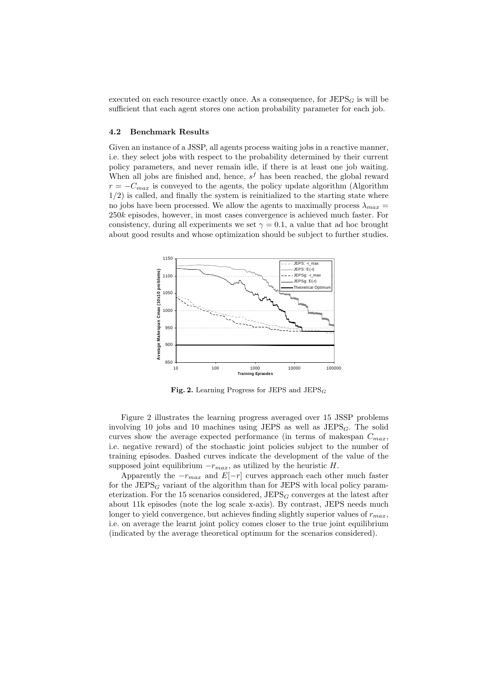executed on each resource exactly once. As a consequence, for  $JEPS<sub>G</sub>$  is will be sufficient that each agent stores one action probability parameter for each job.

## 4.2 Benchmark Results

Given an instance of a JSSP, all agents process waiting jobs in a reactive manner. i.e. they select jobs with respect to the probability determined by their current policy parameters, and never remain idle, if there is at least one job waiting. When all jobs are finished and, hence,  $s<sup>f</sup>$  has been reached, the global reward  $r = -C_{max}$  is conveyed to the agents, the policy update algorithm (Algorithm  $1/2$ ) is called, and finally the system is reinitialized to the starting state where no jobs have been processed. We allow the agents to maximally process  $\lambda_{max} =$ 250k episodes, however, in most cases convergence is achieved much faster. For consistency, during all experiments we set  $\gamma = 0.1$ , a value that ad hoc brought about good results and whose optimization should be subject to further studies.



Fig. 2. Learning Progress for JEPS and  $JEPS<sub>G</sub>$ 

Figure 2 illustrates the learning progress averaged over 15 JSSP problems involving 10 jobs and 10 machines using JEPS as well as  $JEPS<sub>G</sub>$ . The solid curves show the average expected performance (in terms of makespan  $C_{max}$ , i.e. negative reward) of the stochastic joint policies subject to the number of training episodes. Dashed curves indicate the development of the value of the supposed joint equilibrium  $-r_{max}$ , as utilized by the heuristic H.

Apparently the  $-r_{max}$  and  $E[-r]$  curves approach each other much faster for the JEPS<sub>G</sub> variant of the algorithm than for JEPS with local policy parameterization. For the 15 scenarios considered,  $JEPS<sub>G</sub>$  converges at the latest after about 11k episodes (note the log scale x-axis). By contrast, JEPS needs much longer to yield convergence, but achieves finding slightly superior values of  $r_{max}$ , i.e. on average the learnt joint policy comes closer to the true joint equilibrium (indicated by the average theoretical optimum for the scenarios considered).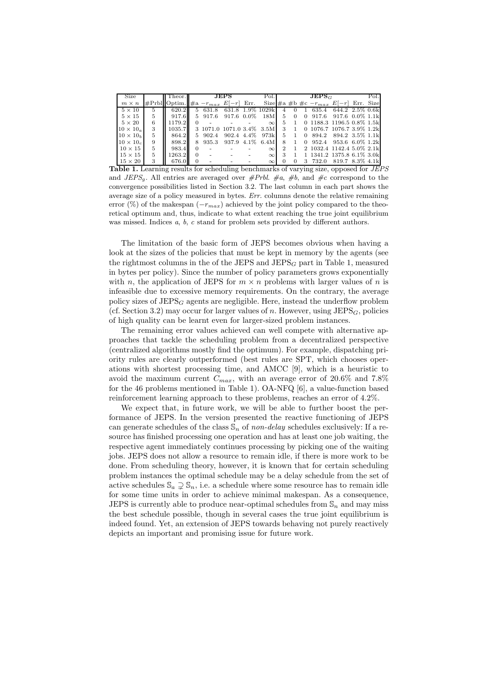| Size             |    | Theor.                         | $_{\rm JEPS}$ |                           |             |  | Pol.             | $\mathbf{JEPS}_G$ |                     |          |                                                         |                        |  | Pol. |
|------------------|----|--------------------------------|---------------|---------------------------|-------------|--|------------------|-------------------|---------------------|----------|---------------------------------------------------------|------------------------|--|------|
| $m \times n$     |    | $\#Prbll$ Optim. $\#a-r_{max}$ |               |                           |             |  |                  |                   |                     |          | $E[-r]$ Err. Size #a #b #c $-r_{max}$ $E[-r]$ Err. Size |                        |  |      |
| $5 \times 10$    |    | 620.2                          | 5.            | 631.8                     |             |  | 631.8 1.9% 1029k |                   | $4 \quad 0 \quad 1$ |          | 635.4                                                   | 644.2 2.5\% 0.6k       |  |      |
| $5 \times 15$    | 5  | 917.6                          |               | 5 917.6 917.6 0.0% 18M    |             |  |                  |                   | $5\quad 0$          |          | $0.917.6$ 917.6 0.0\% 1.1k                              |                        |  |      |
| $5 \times 20$    | 6  | 1179.2II                       |               |                           |             |  | $\infty$         | $5^{\circ}$       |                     |          | 0 1188.3 1196.5 0.8% 1.5k                               |                        |  |      |
| $10 \times 10_a$ | 3  | 1035.7                         |               | 3 1071.0 1071.0 3.4% 3.5M |             |  |                  |                   | $3 \quad 1$         |          | 0 1076.7 1076.7 3.9% 1.2k                               |                        |  |      |
| $10 \times 10b$  | 5  | 864.2                          | 5.            | 902.4                     | 902.4 4.4\% |  | 973k             | 5                 |                     | $\Omega$ |                                                         | 894.2 894.2 3.5% 1.1k  |  |      |
| $10 \times 10_c$ |    | 898.2                          | 8             | 935.3                     | 937.9 4.1\% |  | 6.4M             | 8                 |                     | $\Omega$ | 952.4                                                   | 953.6 6.0% 1.2kl       |  |      |
| $10 \times 15$   | 5. | 983.4                          |               |                           |             |  | $\infty$         |                   |                     |          | 2 1032.4 1142.4 5.0% 2.1k                               |                        |  |      |
| $15 \times 15$   | 5  | 1263.2II                       |               | $0 -$                     |             |  | $\infty$         |                   |                     |          | 1 1341.2 1375.8 6.1% 3.0k                               |                        |  |      |
| $15 \times 20$   |    | 676.0                          |               |                           |             |  | $\infty$         |                   |                     | 3        |                                                         | 732.0 819.7 8.3% 4.1kl |  |      |

Table 1. Learning results for scheduling benchmarks of varying size, opposed for JEPS and JEPS<sub>g</sub>. All entries are averaged over  $\#Prbl$ .  $\#a$ ,  $\#b$ , and  $\#c$  correspond to the convergence possibilities listed in Section 3.2. The last column in each part shows the average size of a policy measured in bytes. Err. columns denote the relative remaining error (%) of the makespan  $(-r_{max})$  achieved by the joint policy compared to the theoretical optimum and, thus, indicate to what extent reaching the true joint equilibrium was missed. Indices a, b, c stand for problem sets provided by different authors.

The limitation of the basic form of JEPS becomes obvious when having a look at the sizes of the policies that must be kept in memory by the agents (see the rightmost columns in the of the JEPS and  $JEPS<sub>G</sub>$  part in Table 1, measured in bytes per policy). Since the number of policy parameters grows exponentially with n, the application of JEPS for  $m \times n$  problems with larger values of n is infeasible due to excessive memory requirements. On the contrary, the average policy sizes of  $JEPS<sub>G</sub>$  agents are negligible. Here, instead the underflow problem (cf. Section 3.2) may occur for larger values of n. However, using  $JEPS<sub>G</sub>$ , policies of high quality can be learnt even for larger-sized problem instances.

The remaining error values achieved can well compete with alternative approaches that tackle the scheduling problem from a decentralized perspective (centralized algorithms mostly find the optimum). For example, dispatching priority rules are clearly outperformed (best rules are SPT, which chooses operations with shortest processing time, and AMCC [9], which is a heuristic to avoid the maximum current  $C_{max}$ , with an average error of 20.6% and 7.8% for the 46 problems mentioned in Table 1). OA-NFQ [6], a value-function based reinforcement learning approach to these problems, reaches an error of 4.2%.

We expect that, in future work, we will be able to further boost the performance of JEPS. In the version presented the reactive functioning of JEPS can generate schedules of the class  $\mathbb{S}_n$  of non-delay schedules exclusively: If a resource has finished processing one operation and has at least one job waiting, the respective agent immediately continues processing by picking one of the waiting jobs. JEPS does not allow a resource to remain idle, if there is more work to be done. From scheduling theory, however, it is known that for certain scheduling problem instances the optimal schedule may be a delay schedule from the set of active schedules  $\mathbb{S}_a \supseteq \mathbb{S}_n$ , i.e. a schedule where some resource has to remain idle for some time units in order to achieve minimal makespan. As a consequence, JEPS is currently able to produce near-optimal schedules from  $\mathbb{S}_n$  and may miss the best schedule possible, though in several cases the true joint equilibrium is indeed found. Yet, an extension of JEPS towards behaving not purely reactively depicts an important and promising issue for future work.